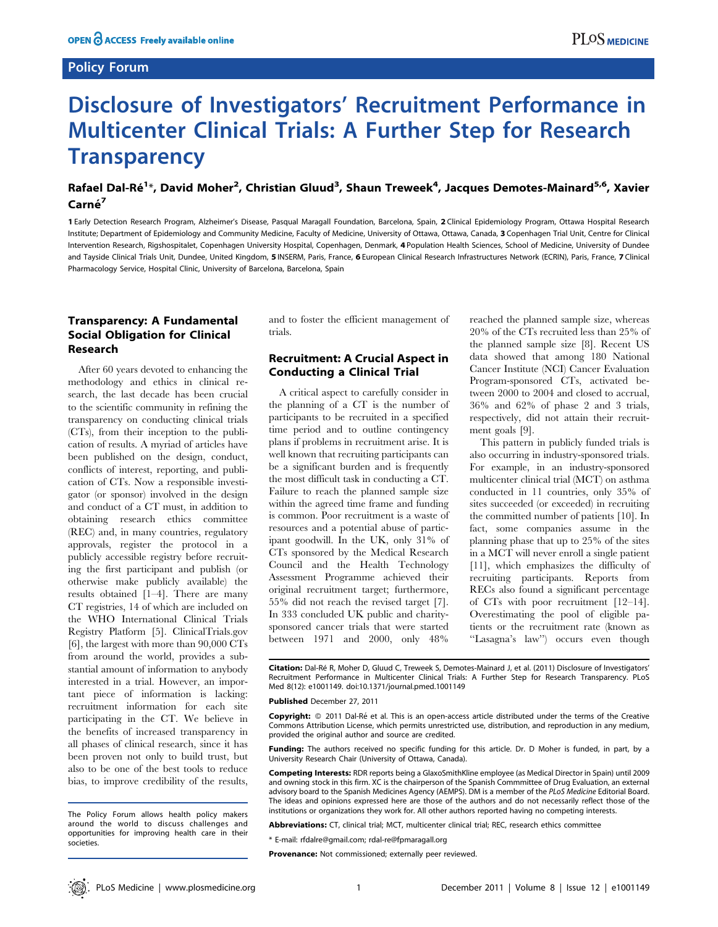## Policy Forum

# Disclosure of Investigators' Recruitment Performance in Multicenter Clinical Trials: A Further Step for Research **Transparency**

# Rafael Dal-Ré<sup>1</sup>\*, David Moher<sup>2</sup>, Christian Gluud<sup>3</sup>, Shaun Treweek<sup>4</sup>, Jacques Demotes-Mainard<sup>5,6</sup>, Xavier Carné<sup>7</sup>

1 Early Detection Research Program, Alzheimer's Disease, Pasqual Maragall Foundation, Barcelona, Spain, 2 Clinical Epidemiology Program, Ottawa Hospital Research Institute; Department of Epidemiology and Community Medicine, Faculty of Medicine, University of Ottawa, Ottawa, Canada, 3 Copenhagen Trial Unit, Centre for Clinical Intervention Research, Rigshospitalet, Copenhagen University Hospital, Copenhagen, Denmark, 4 Population Health Sciences, School of Medicine, University of Dundee and Tayside Clinical Trials Unit, Dundee, United Kingdom, 5 INSERM, Paris, France, 6 European Clinical Research Infrastructures Network (ECRIN), Paris, France, 7 Clinical Pharmacology Service, Hospital Clinic, University of Barcelona, Barcelona, Spain

# Transparency: A Fundamental Social Obligation for Clinical Research

After 60 years devoted to enhancing the methodology and ethics in clinical research, the last decade has been crucial to the scientific community in refining the transparency on conducting clinical trials (CTs), from their inception to the publication of results. A myriad of articles have been published on the design, conduct, conflicts of interest, reporting, and publication of CTs. Now a responsible investigator (or sponsor) involved in the design and conduct of a CT must, in addition to obtaining research ethics committee (REC) and, in many countries, regulatory approvals, register the protocol in a publicly accessible registry before recruiting the first participant and publish (or otherwise make publicly available) the results obtained [1–4]. There are many CT registries, 14 of which are included on the WHO International Clinical Trials Registry Platform [5]. ClinicalTrials.gov [6], the largest with more than 90,000 CTs from around the world, provides a substantial amount of information to anybody interested in a trial. However, an important piece of information is lacking: recruitment information for each site participating in the CT. We believe in the benefits of increased transparency in all phases of clinical research, since it has been proven not only to build trust, but also to be one of the best tools to reduce bias, to improve credibility of the results, and to foster the efficient management of trials.

## Recruitment: A Crucial Aspect in Conducting a Clinical Trial

A critical aspect to carefully consider in the planning of a CT is the number of participants to be recruited in a specified time period and to outline contingency plans if problems in recruitment arise. It is well known that recruiting participants can be a significant burden and is frequently the most difficult task in conducting a CT. Failure to reach the planned sample size within the agreed time frame and funding is common. Poor recruitment is a waste of resources and a potential abuse of participant goodwill. In the UK, only 31% of CTs sponsored by the Medical Research Council and the Health Technology Assessment Programme achieved their original recruitment target; furthermore, 55% did not reach the revised target [7]. In 333 concluded UK public and charitysponsored cancer trials that were started between 1971 and 2000, only 48%

reached the planned sample size, whereas 20% of the CTs recruited less than 25% of the planned sample size [8]. Recent US data showed that among 180 National Cancer Institute (NCI) Cancer Evaluation Program-sponsored CTs, activated between 2000 to 2004 and closed to accrual, 36% and 62% of phase 2 and 3 trials, respectively, did not attain their recruitment goals [9].

This pattern in publicly funded trials is also occurring in industry-sponsored trials. For example, in an industry-sponsored multicenter clinical trial (MCT) on asthma conducted in 11 countries, only 35% of sites succeeded (or exceeded) in recruiting the committed number of patients [10]. In fact, some companies assume in the planning phase that up to 25% of the sites in a MCT will never enroll a single patient [11], which emphasizes the difficulty of recruiting participants. Reports from RECs also found a significant percentage of CTs with poor recruitment [12–14]. Overestimating the pool of eligible patients or the recruitment rate (known as ''Lasagna's law'') occurs even though

Citation: Dal-Ré R, Moher D, Gluud C, Treweek S, Demotes-Mainard J, et al. (2011) Disclosure of Investigators' Recruitment Performance in Multicenter Clinical Trials: A Further Step for Research Transparency. PLoS Med 8(12): e1001149. doi:10.1371/journal.pmed.1001149

#### Published December 27, 2011

Copyright: © 2011 Dal-Ré et al. This is an open-access article distributed under the terms of the Creative Commons Attribution License, which permits unrestricted use, distribution, and reproduction in any medium, provided the original author and source are credited.

Funding: The authors received no specific funding for this article. Dr. D Moher is funded, in part, by a University Research Chair (University of Ottawa, Canada).

Competing Interests: RDR reports being a GlaxoSmithKline employee (as Medical Director in Spain) until 2009 and owning stock in this firm. XC is the chairperson of the Spanish Commmittee of Drug Evaluation, an external advisory board to the Spanish Medicines Agency (AEMPS). DM is a member of the PLoS Medicine Editorial Board. The ideas and opinions expressed here are those of the authors and do not necessarily reflect those of the institutions or organizations they work for. All other authors reported having no competing interests.

Abbreviations: CT, clinical trial; MCT, multicenter clinical trial; REC, research ethics committee

\* E-mail: rfdalre@gmail.com; rdal-re@fpmaragall.org

Provenance: Not commissioned; externally peer reviewed.

The Policy Forum allows health policy makers around the world to discuss challenges and opportunities for improving health care in their societies.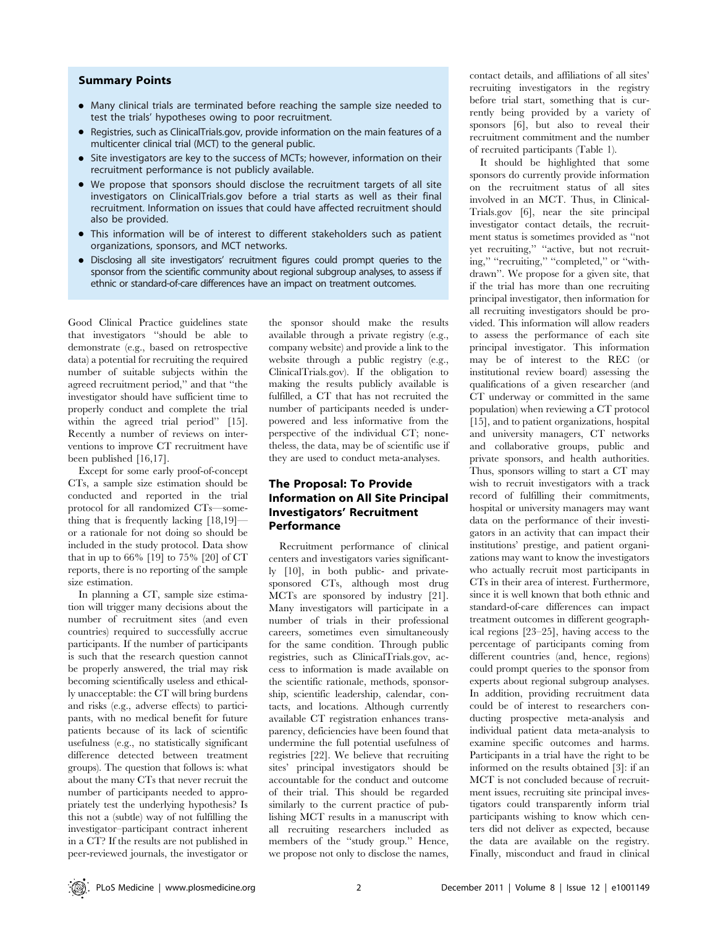## Summary Points

- Many clinical trials are terminated before reaching the sample size needed to test the trials' hypotheses owing to poor recruitment.
- Registries, such as ClinicalTrials.gov, provide information on the main features of a multicenter clinical trial (MCT) to the general public.
- Site investigators are key to the success of MCTs; however, information on their recruitment performance is not publicly available.
- We propose that sponsors should disclose the recruitment targets of all site investigators on ClinicalTrials.gov before a trial starts as well as their final recruitment. Information on issues that could have affected recruitment should also be provided.
- This information will be of interest to different stakeholders such as patient organizations, sponsors, and MCT networks.
- N Disclosing all site investigators' recruitment figures could prompt queries to the sponsor from the scientific community about regional subgroup analyses, to assess if ethnic or standard-of-care differences have an impact on treatment outcomes.

Good Clinical Practice guidelines state that investigators ''should be able to demonstrate (e.g., based on retrospective data) a potential for recruiting the required number of suitable subjects within the agreed recruitment period,'' and that ''the investigator should have sufficient time to properly conduct and complete the trial within the agreed trial period'' [15]. Recently a number of reviews on interventions to improve CT recruitment have been published [16,17].

Except for some early proof-of-concept CTs, a sample size estimation should be conducted and reported in the trial protocol for all randomized CTs—something that is frequently lacking [18,19] or a rationale for not doing so should be included in the study protocol. Data show that in up to 66% [19] to 75% [20] of CT reports, there is no reporting of the sample size estimation.

In planning a CT, sample size estimation will trigger many decisions about the number of recruitment sites (and even countries) required to successfully accrue participants. If the number of participants is such that the research question cannot be properly answered, the trial may risk becoming scientifically useless and ethically unacceptable: the CT will bring burdens and risks (e.g., adverse effects) to participants, with no medical benefit for future patients because of its lack of scientific usefulness (e.g., no statistically significant difference detected between treatment groups). The question that follows is: what about the many CTs that never recruit the number of participants needed to appropriately test the underlying hypothesis? Is this not a (subtle) way of not fulfilling the investigator–participant contract inherent in a CT? If the results are not published in peer-reviewed journals, the investigator or the sponsor should make the results available through a private registry (e.g., company website) and provide a link to the website through a public registry (e.g., ClinicalTrials.gov). If the obligation to making the results publicly available is fulfilled, a CT that has not recruited the number of participants needed is underpowered and less informative from the perspective of the individual CT; nonetheless, the data, may be of scientific use if they are used to conduct meta-analyses.

# The Proposal: To Provide Information on All Site Principal Investigators' Recruitment **Performance**

Recruitment performance of clinical centers and investigators varies significantly [10], in both public- and privatesponsored CTs, although most drug MCTs are sponsored by industry [21]. Many investigators will participate in a number of trials in their professional careers, sometimes even simultaneously for the same condition. Through public registries, such as ClinicalTrials.gov, access to information is made available on the scientific rationale, methods, sponsorship, scientific leadership, calendar, contacts, and locations. Although currently available CT registration enhances transparency, deficiencies have been found that undermine the full potential usefulness of registries [22]. We believe that recruiting sites' principal investigators should be accountable for the conduct and outcome of their trial. This should be regarded similarly to the current practice of publishing MCT results in a manuscript with all recruiting researchers included as members of the ''study group.'' Hence, we propose not only to disclose the names,

contact details, and affiliations of all sites' recruiting investigators in the registry before trial start, something that is currently being provided by a variety of sponsors [6], but also to reveal their recruitment commitment and the number of recruited participants (Table 1).

It should be highlighted that some sponsors do currently provide information on the recruitment status of all sites involved in an MCT. Thus, in Clinical-Trials.gov [6], near the site principal investigator contact details, the recruitment status is sometimes provided as ''not yet recruiting,'' ''active, but not recruiting," "recruiting," "completed," or "withdrawn''. We propose for a given site, that if the trial has more than one recruiting principal investigator, then information for all recruiting investigators should be provided. This information will allow readers to assess the performance of each site principal investigator. This information may be of interest to the REC (or institutional review board) assessing the qualifications of a given researcher (and CT underway or committed in the same population) when reviewing a CT protocol [15], and to patient organizations, hospital and university managers, CT networks and collaborative groups, public and private sponsors, and health authorities. Thus, sponsors willing to start a CT may wish to recruit investigators with a track record of fulfilling their commitments, hospital or university managers may want data on the performance of their investigators in an activity that can impact their institutions' prestige, and patient organizations may want to know the investigators who actually recruit most participants in CTs in their area of interest. Furthermore, since it is well known that both ethnic and standard-of-care differences can impact treatment outcomes in different geographical regions [23–25], having access to the percentage of participants coming from different countries (and, hence, regions) could prompt queries to the sponsor from experts about regional subgroup analyses. In addition, providing recruitment data could be of interest to researchers conducting prospective meta-analysis and individual patient data meta-analysis to examine specific outcomes and harms. Participants in a trial have the right to be informed on the results obtained [3]: if an MCT is not concluded because of recruitment issues, recruiting site principal investigators could transparently inform trial participants wishing to know which centers did not deliver as expected, because the data are available on the registry. Finally, misconduct and fraud in clinical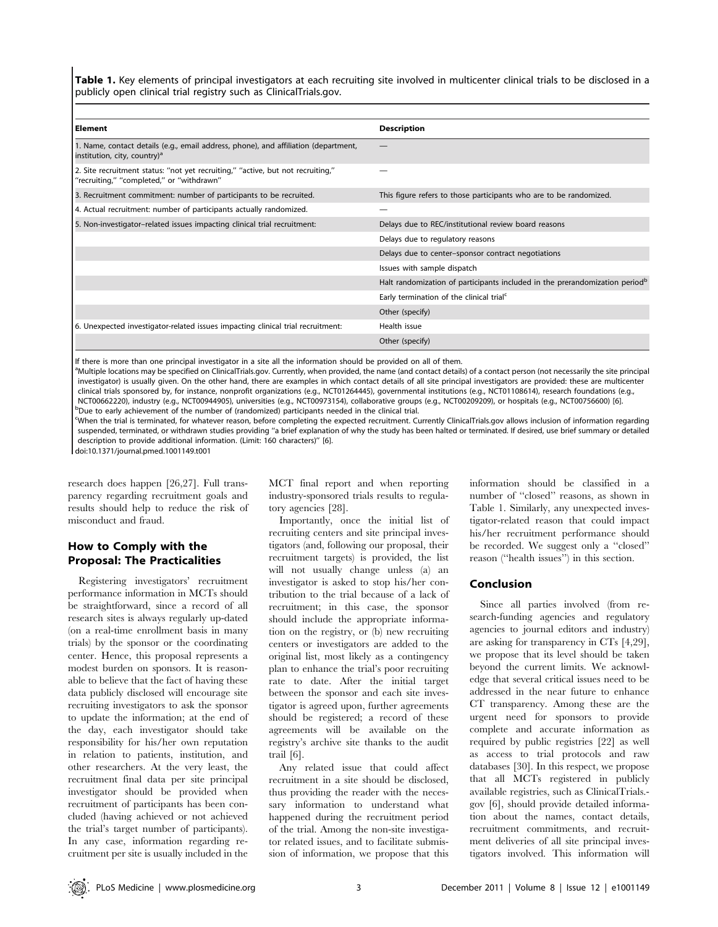Table 1. Key elements of principal investigators at each recruiting site involved in multicenter clinical trials to be disclosed in a publicly open clinical trial registry such as ClinicalTrials.gov.

| l Element                                                                                                                       | <b>Description</b>                                                                      |
|---------------------------------------------------------------------------------------------------------------------------------|-----------------------------------------------------------------------------------------|
| 1. Name, contact details (e.g., email address, phone), and affiliation (department,<br>institution, city, country) <sup>a</sup> |                                                                                         |
| 2. Site recruitment status: "not yet recruiting," "active, but not recruiting,"<br>"recruiting," "completed," or "withdrawn"    |                                                                                         |
| 3. Recruitment commitment: number of participants to be recruited.                                                              | This figure refers to those participants who are to be randomized.                      |
| 4. Actual recruitment: number of participants actually randomized.                                                              |                                                                                         |
| 5. Non-investigator-related issues impacting clinical trial recruitment:                                                        | Delays due to REC/institutional review board reasons                                    |
|                                                                                                                                 | Delays due to regulatory reasons                                                        |
|                                                                                                                                 | Delays due to center-sponsor contract negotiations                                      |
|                                                                                                                                 | Issues with sample dispatch                                                             |
|                                                                                                                                 | Halt randomization of participants included in the prerandomization period <sup>b</sup> |
|                                                                                                                                 | Early termination of the clinical trial <sup>c</sup>                                    |
|                                                                                                                                 | Other (specify)                                                                         |
| 6. Unexpected investigator-related issues impacting clinical trial recruitment:                                                 | Health issue                                                                            |
|                                                                                                                                 | Other (specify)                                                                         |

If there is more than one principal investigator in a site all the information should be provided on all of them.

a<br>Multiple locations may be specified on ClinicalTrials.gov. Currently, when provided, the name (and contact details) of a contact person (not necessarily the site principal investigator) is usually given. On the other hand, there are examples in which contact details of all site principal investigators are provided: these are multicenter clinical trials sponsored by, for instance, nonprofit organizations (e.g., NCT01264445), governmental institutions (e.g., NCT01108614), research foundations (e.g., NCT00662220), industry (e.g., NCT00944905), universities (e.g., NCT00973154), collaborative groups (e.g., NCT00209209), or hospitals (e.g., NCT00756600) [6]. <sup>b</sup>  $\rm ^b$ Due to early achievement of the number of (randomized) participants needed in the clinical trial.

c When the trial is terminated, for whatever reason, before completing the expected recruitment. Currently ClinicalTrials.gov allows inclusion of information regarding suspended, terminated, or withdrawn studies providing ''a brief explanation of why the study has been halted or terminated. If desired, use brief summary or detailed description to provide additional information. (Limit: 160 characters)'' [6].

doi:10.1371/journal.pmed.1001149.t001

research does happen [26,27]. Full transparency regarding recruitment goals and results should help to reduce the risk of misconduct and fraud.

# How to Comply with the Proposal: The Practicalities

Registering investigators' recruitment performance information in MCTs should be straightforward, since a record of all research sites is always regularly up-dated (on a real-time enrollment basis in many trials) by the sponsor or the coordinating center. Hence, this proposal represents a modest burden on sponsors. It is reasonable to believe that the fact of having these data publicly disclosed will encourage site recruiting investigators to ask the sponsor to update the information; at the end of the day, each investigator should take responsibility for his/her own reputation in relation to patients, institution, and other researchers. At the very least, the recruitment final data per site principal investigator should be provided when recruitment of participants has been concluded (having achieved or not achieved the trial's target number of participants). In any case, information regarding recruitment per site is usually included in the MCT final report and when reporting industry-sponsored trials results to regulatory agencies [28].

Importantly, once the initial list of recruiting centers and site principal investigators (and, following our proposal, their recruitment targets) is provided, the list will not usually change unless (a) an investigator is asked to stop his/her contribution to the trial because of a lack of recruitment; in this case, the sponsor should include the appropriate information on the registry, or (b) new recruiting centers or investigators are added to the original list, most likely as a contingency plan to enhance the trial's poor recruiting rate to date. After the initial target between the sponsor and each site investigator is agreed upon, further agreements should be registered; a record of these agreements will be available on the registry's archive site thanks to the audit trail [6].

Any related issue that could affect recruitment in a site should be disclosed, thus providing the reader with the necessary information to understand what happened during the recruitment period of the trial. Among the non-site investigator related issues, and to facilitate submission of information, we propose that this

information should be classified in a number of ''closed'' reasons, as shown in Table 1. Similarly, any unexpected investigator-related reason that could impact his/her recruitment performance should be recorded. We suggest only a ''closed'' reason (''health issues'') in this section.

## Conclusion

Since all parties involved (from research-funding agencies and regulatory agencies to journal editors and industry) are asking for transparency in CTs [4,29], we propose that its level should be taken beyond the current limits. We acknowledge that several critical issues need to be addressed in the near future to enhance CT transparency. Among these are the urgent need for sponsors to provide complete and accurate information as required by public registries [22] as well as access to trial protocols and raw databases [30]. In this respect, we propose that all MCTs registered in publicly available registries, such as ClinicalTrials. gov [6], should provide detailed information about the names, contact details, recruitment commitments, and recruitment deliveries of all site principal investigators involved. This information will